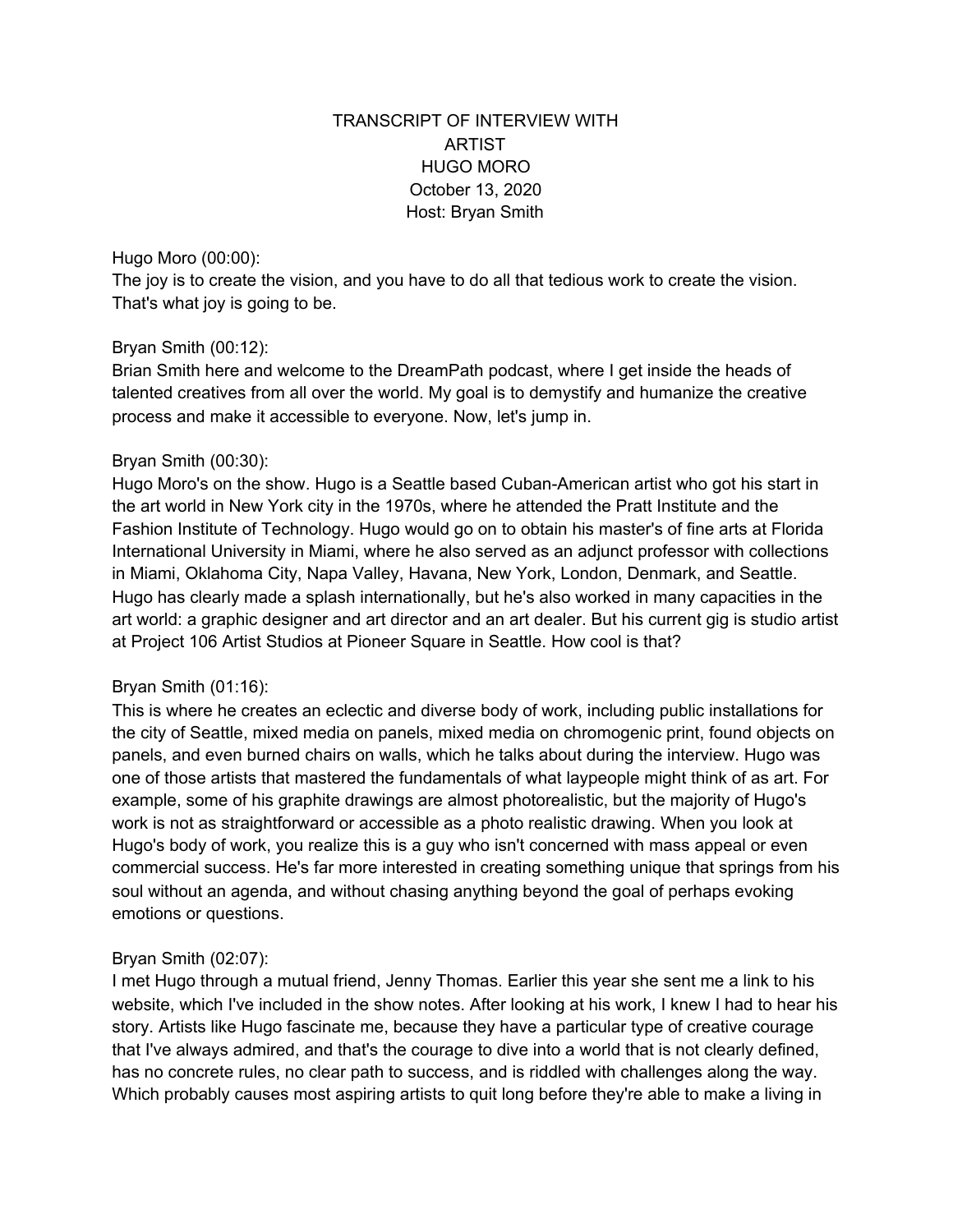# TRANSCRIPT OF INTERVIEW WITH ARTIST HUGO MORO October 13, 2020 Host: Bryan Smith

Hugo Moro (00:00):

The joy is to create the vision, and you have to do all that tedious work to create the vision. That's what joy is going to be.

### Bryan Smith (00:12):

Brian Smith here and welcome to the DreamPath podcast, where I get inside the heads of talented creatives from all over the world. My goal is to demystify and humanize the creative process and make it accessible to everyone. Now, let's jump in.

### Bryan Smith (00:30):

Hugo Moro's on the show. Hugo is a Seattle based Cuban-American artist who got his start in the art world in New York city in the 1970s, where he attended the Pratt Institute and the Fashion Institute of Technology. Hugo would go on to obtain his master's of fine arts at Florida International University in Miami, where he also served as an adjunct professor with collections in Miami, Oklahoma City, Napa Valley, Havana, New York, London, Denmark, and Seattle. Hugo has clearly made a splash internationally, but he's also worked in many capacities in the art world: a graphic designer and art director and an art dealer. But his current gig is studio artist at Project 106 Artist Studios at Pioneer Square in Seattle. How cool is that?

### Bryan Smith (01:16):

This is where he creates an eclectic and diverse body of work, including public installations for the city of Seattle, mixed media on panels, mixed media on chromogenic print, found objects on panels, and even burned chairs on walls, which he talks about during the interview. Hugo was one of those artists that mastered the fundamentals of what laypeople might think of as art. For example, some of his graphite drawings are almost photorealistic, but the majority of Hugo's work is not as straightforward or accessible as a photo realistic drawing. When you look at Hugo's body of work, you realize this is a guy who isn't concerned with mass appeal or even commercial success. He's far more interested in creating something unique that springs from his soul without an agenda, and without chasing anything beyond the goal of perhaps evoking emotions or questions.

### Bryan Smith (02:07):

I met Hugo through a mutual friend, Jenny Thomas. Earlier this year she sent me a link to his website, which I've included in the show notes. After looking at his work, I knew I had to hear his story. Artists like Hugo fascinate me, because they have a particular type of creative courage that I've always admired, and that's the courage to dive into a world that is not clearly defined, has no concrete rules, no clear path to success, and is riddled with challenges along the way. Which probably causes most aspiring artists to quit long before they're able to make a living in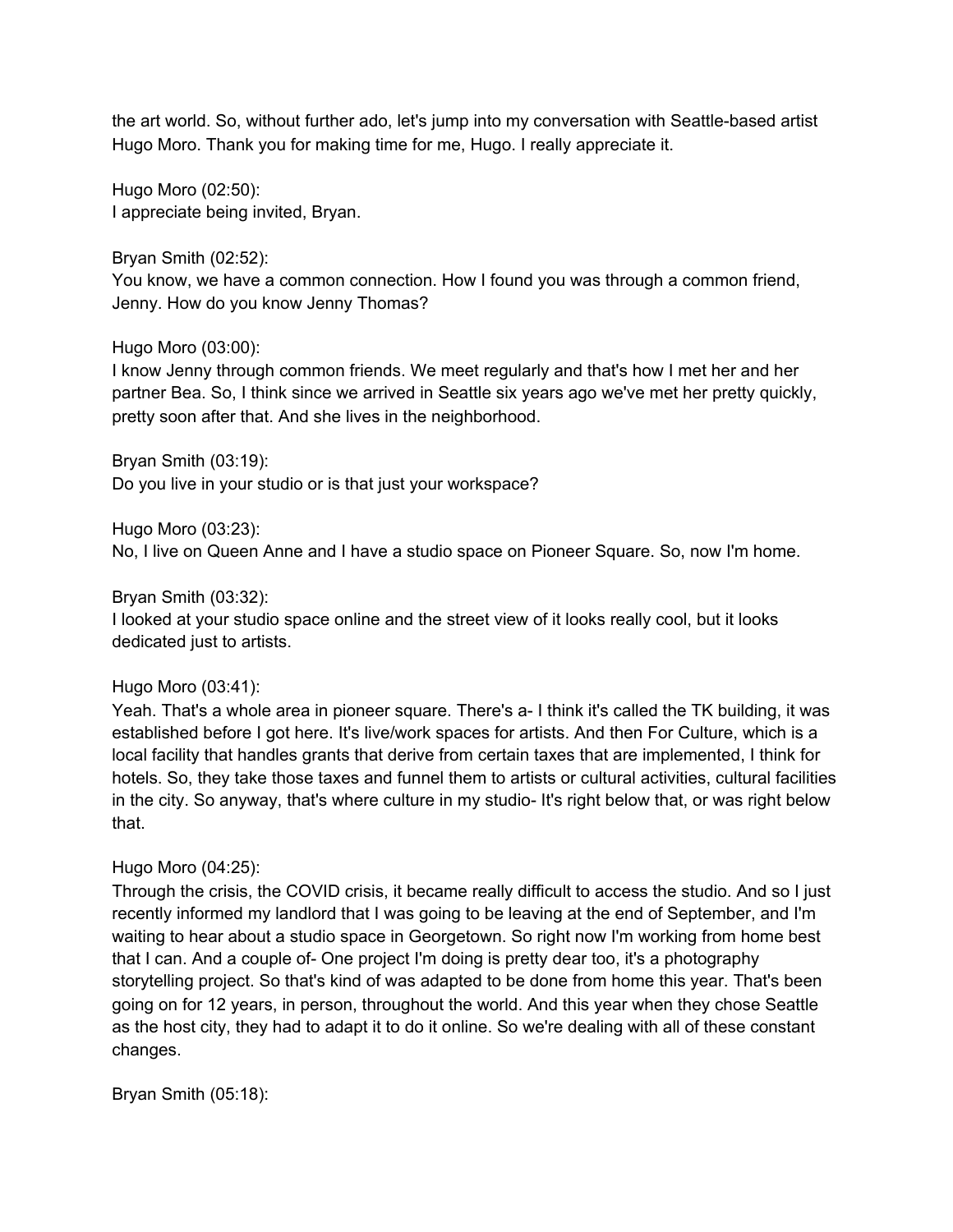the art world. So, without further ado, let's jump into my conversation with Seattle-based artist Hugo Moro. Thank you for making time for me, Hugo. I really appreciate it.

Hugo Moro (02:50): I appreciate being invited, Bryan.

Bryan Smith (02:52):

You know, we have a common connection. How I found you was through a common friend, Jenny. How do you know Jenny Thomas?

Hugo Moro (03:00):

I know Jenny through common friends. We meet regularly and that's how I met her and her partner Bea. So, I think since we arrived in Seattle six years ago we've met her pretty quickly, pretty soon after that. And she lives in the neighborhood.

Bryan Smith (03:19):

Do you live in your studio or is that just your workspace?

Hugo Moro (03:23):

No, I live on Queen Anne and I have a studio space on Pioneer Square. So, now I'm home.

Bryan Smith (03:32):

I looked at your studio space online and the street view of it looks really cool, but it looks dedicated just to artists.

### Hugo Moro (03:41):

Yeah. That's a whole area in pioneer square. There's a- I think it's called the TK building, it was established before I got here. It's live/work spaces for artists. And then For Culture, which is a local facility that handles grants that derive from certain taxes that are implemented, I think for hotels. So, they take those taxes and funnel them to artists or cultural activities, cultural facilities in the city. So anyway, that's where culture in my studio- It's right below that, or was right below that.

### Hugo Moro (04:25):

Through the crisis, the COVID crisis, it became really difficult to access the studio. And so I just recently informed my landlord that I was going to be leaving at the end of September, and I'm waiting to hear about a studio space in Georgetown. So right now I'm working from home best that I can. And a couple of- One project I'm doing is pretty dear too, it's a photography storytelling project. So that's kind of was adapted to be done from home this year. That's been going on for 12 years, in person, throughout the world. And this year when they chose Seattle as the host city, they had to adapt it to do it online. So we're dealing with all of these constant changes.

Bryan Smith (05:18):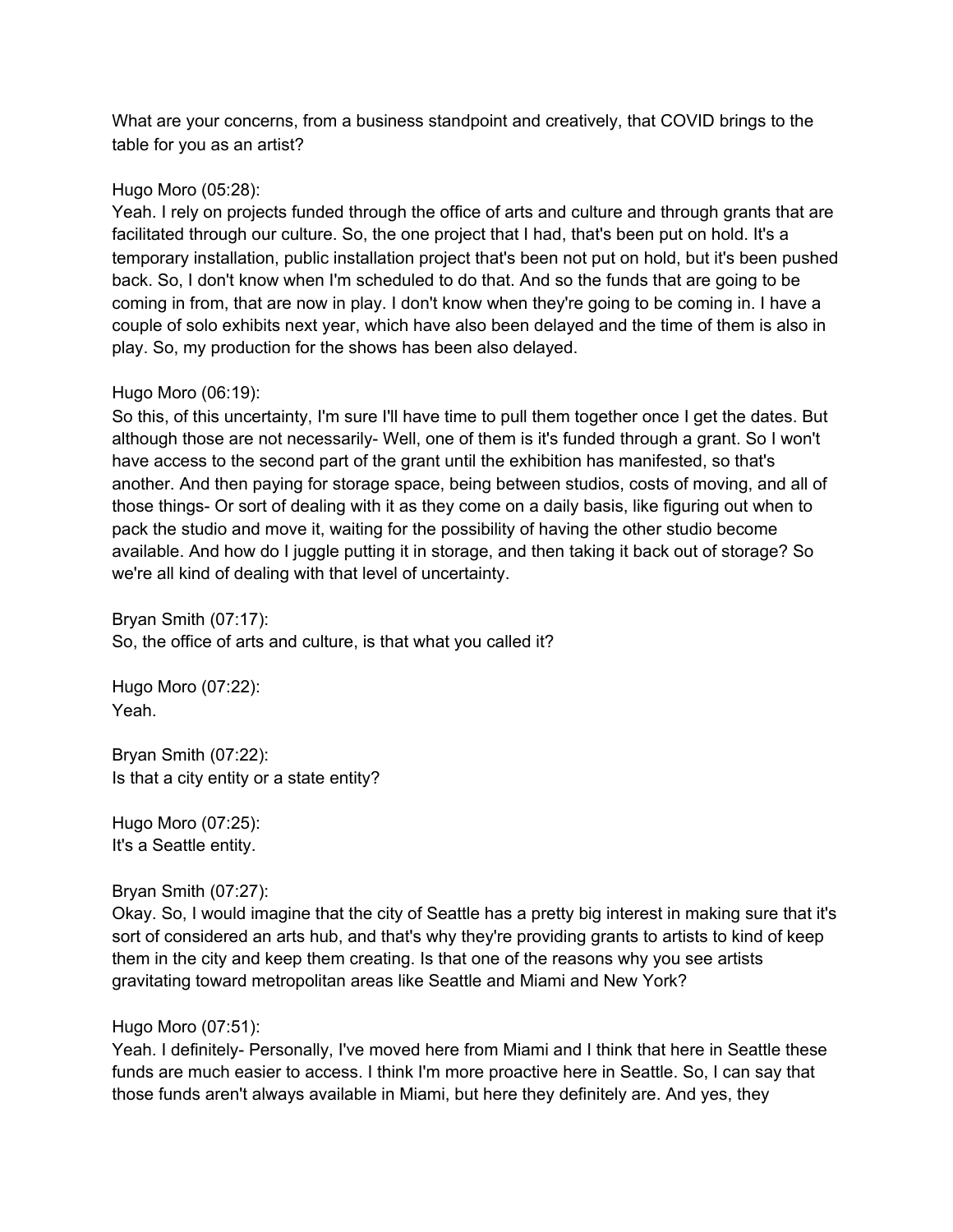What are your concerns, from a business standpoint and creatively, that COVID brings to the table for you as an artist?

### Hugo Moro (05:28):

Yeah. I rely on projects funded through the office of arts and culture and through grants that are facilitated through our culture. So, the one project that I had, that's been put on hold. It's a temporary installation, public installation project that's been not put on hold, but it's been pushed back. So, I don't know when I'm scheduled to do that. And so the funds that are going to be coming in from, that are now in play. I don't know when they're going to be coming in. I have a couple of solo exhibits next year, which have also been delayed and the time of them is also in play. So, my production for the shows has been also delayed.

#### Hugo Moro (06:19):

So this, of this uncertainty, I'm sure I'll have time to pull them together once I get the dates. But although those are not necessarily- Well, one of them is it's funded through a grant. So I won't have access to the second part of the grant until the exhibition has manifested, so that's another. And then paying for storage space, being between studios, costs of moving, and all of those things- Or sort of dealing with it as they come on a daily basis, like figuring out when to pack the studio and move it, waiting for the possibility of having the other studio become available. And how do I juggle putting it in storage, and then taking it back out of storage? So we're all kind of dealing with that level of uncertainty.

Bryan Smith (07:17): So, the office of arts and culture, is that what you called it?

Hugo Moro (07:22): Yeah.

Bryan Smith (07:22): Is that a city entity or a state entity?

Hugo Moro (07:25): It's a Seattle entity.

#### Bryan Smith (07:27):

Okay. So, I would imagine that the city of Seattle has a pretty big interest in making sure that it's sort of considered an arts hub, and that's why they're providing grants to artists to kind of keep them in the city and keep them creating. Is that one of the reasons why you see artists gravitating toward metropolitan areas like Seattle and Miami and New York?

#### Hugo Moro (07:51):

Yeah. I definitely- Personally, I've moved here from Miami and I think that here in Seattle these funds are much easier to access. I think I'm more proactive here in Seattle. So, I can say that those funds aren't always available in Miami, but here they definitely are. And yes, they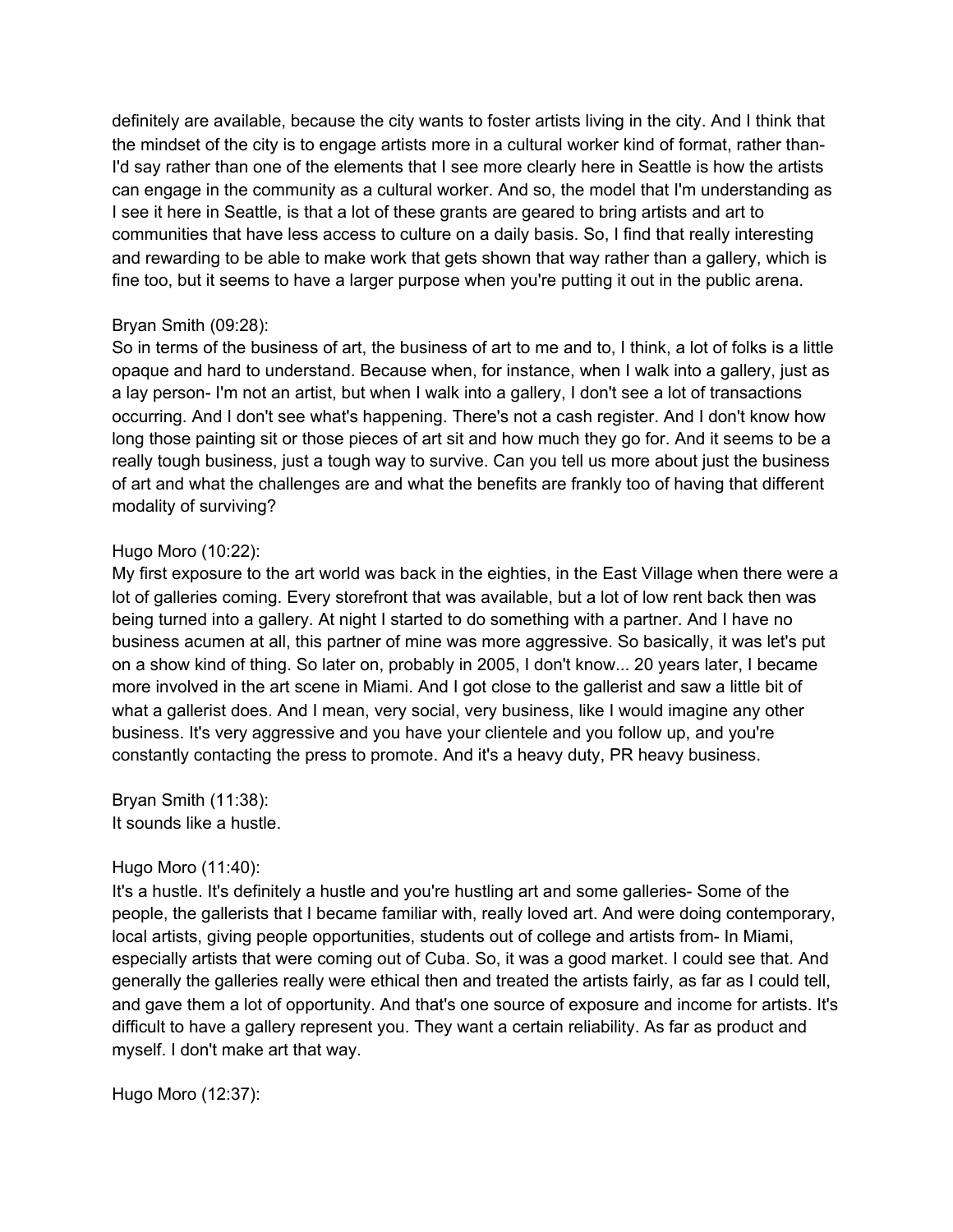definitely are available, because the city wants to foster artists living in the city. And I think that the mindset of the city is to engage artists more in a cultural worker kind of format, rather than-I'd say rather than one of the elements that I see more clearly here in Seattle is how the artists can engage in the community as a cultural worker. And so, the model that I'm understanding as I see it here in Seattle, is that a lot of these grants are geared to bring artists and art to communities that have less access to culture on a daily basis. So, I find that really interesting and rewarding to be able to make work that gets shown that way rather than a gallery, which is fine too, but it seems to have a larger purpose when you're putting it out in the public arena.

### Bryan Smith (09:28):

So in terms of the business of art, the business of art to me and to, I think, a lot of folks is a little opaque and hard to understand. Because when, for instance, when I walk into a gallery, just as a lay person- I'm not an artist, but when I walk into a gallery, I don't see a lot of transactions occurring. And I don't see what's happening. There's not a cash register. And I don't know how long those painting sit or those pieces of art sit and how much they go for. And it seems to be a really tough business, just a tough way to survive. Can you tell us more about just the business of art and what the challenges are and what the benefits are frankly too of having that different modality of surviving?

### Hugo Moro (10:22):

My first exposure to the art world was back in the eighties, in the East Village when there were a lot of galleries coming. Every storefront that was available, but a lot of low rent back then was being turned into a gallery. At night I started to do something with a partner. And I have no business acumen at all, this partner of mine was more aggressive. So basically, it was let's put on a show kind of thing. So later on, probably in 2005, I don't know... 20 years later, I became more involved in the art scene in Miami. And I got close to the gallerist and saw a little bit of what a gallerist does. And I mean, very social, very business, like I would imagine any other business. It's very aggressive and you have your clientele and you follow up, and you're constantly contacting the press to promote. And it's a heavy duty, PR heavy business.

Bryan Smith (11:38): It sounds like a hustle.

### Hugo Moro (11:40):

It's a hustle. It's definitely a hustle and you're hustling art and some galleries- Some of the people, the gallerists that I became familiar with, really loved art. And were doing contemporary, local artists, giving people opportunities, students out of college and artists from- In Miami, especially artists that were coming out of Cuba. So, it was a good market. I could see that. And generally the galleries really were ethical then and treated the artists fairly, as far as I could tell, and gave them a lot of opportunity. And that's one source of exposure and income for artists. It's difficult to have a gallery represent you. They want a certain reliability. As far as product and myself. I don't make art that way.

Hugo Moro (12:37):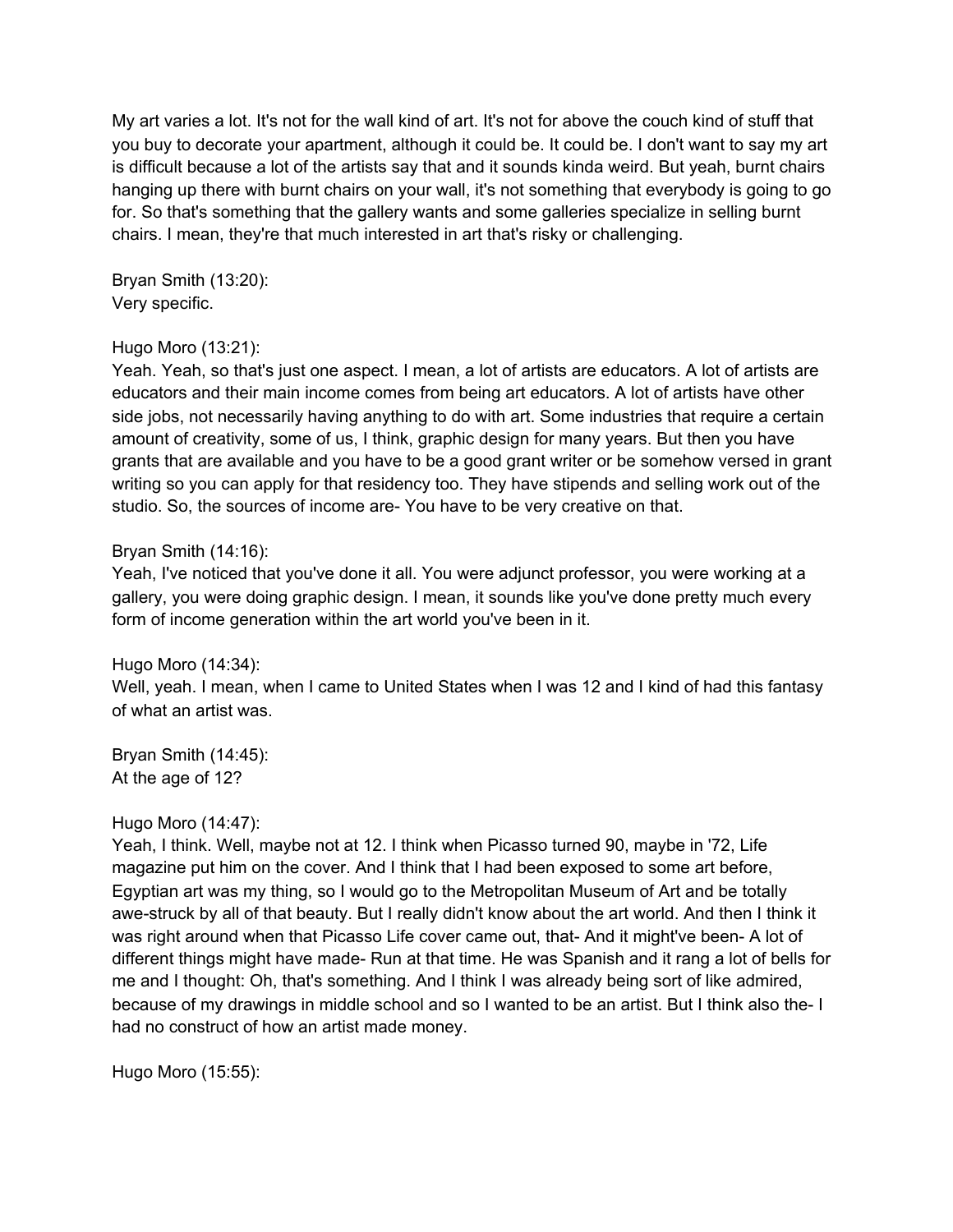My art varies a lot. It's not for the wall kind of art. It's not for above the couch kind of stuff that you buy to decorate your apartment, although it could be. It could be. I don't want to say my art is difficult because a lot of the artists say that and it sounds kinda weird. But yeah, burnt chairs hanging up there with burnt chairs on your wall, it's not something that everybody is going to go for. So that's something that the gallery wants and some galleries specialize in selling burnt chairs. I mean, they're that much interested in art that's risky or challenging.

Bryan Smith (13:20): Very specific.

### Hugo Moro (13:21):

Yeah. Yeah, so that's just one aspect. I mean, a lot of artists are educators. A lot of artists are educators and their main income comes from being art educators. A lot of artists have other side jobs, not necessarily having anything to do with art. Some industries that require a certain amount of creativity, some of us, I think, graphic design for many years. But then you have grants that are available and you have to be a good grant writer or be somehow versed in grant writing so you can apply for that residency too. They have stipends and selling work out of the studio. So, the sources of income are- You have to be very creative on that.

### Bryan Smith (14:16):

Yeah, I've noticed that you've done it all. You were adjunct professor, you were working at a gallery, you were doing graphic design. I mean, it sounds like you've done pretty much every form of income generation within the art world you've been in it.

Hugo Moro (14:34):

Well, yeah. I mean, when I came to United States when I was 12 and I kind of had this fantasy of what an artist was.

Bryan Smith (14:45): At the age of 12?

### Hugo Moro (14:47):

Yeah, I think. Well, maybe not at 12. I think when Picasso turned 90, maybe in '72, Life magazine put him on the cover. And I think that I had been exposed to some art before, Egyptian art was my thing, so I would go to the Metropolitan Museum of Art and be totally awe-struck by all of that beauty. But I really didn't know about the art world. And then I think it was right around when that Picasso Life cover came out, that- And it might've been- A lot of different things might have made- Run at that time. He was Spanish and it rang a lot of bells for me and I thought: Oh, that's something. And I think I was already being sort of like admired, because of my drawings in middle school and so I wanted to be an artist. But I think also the- I had no construct of how an artist made money.

Hugo Moro (15:55):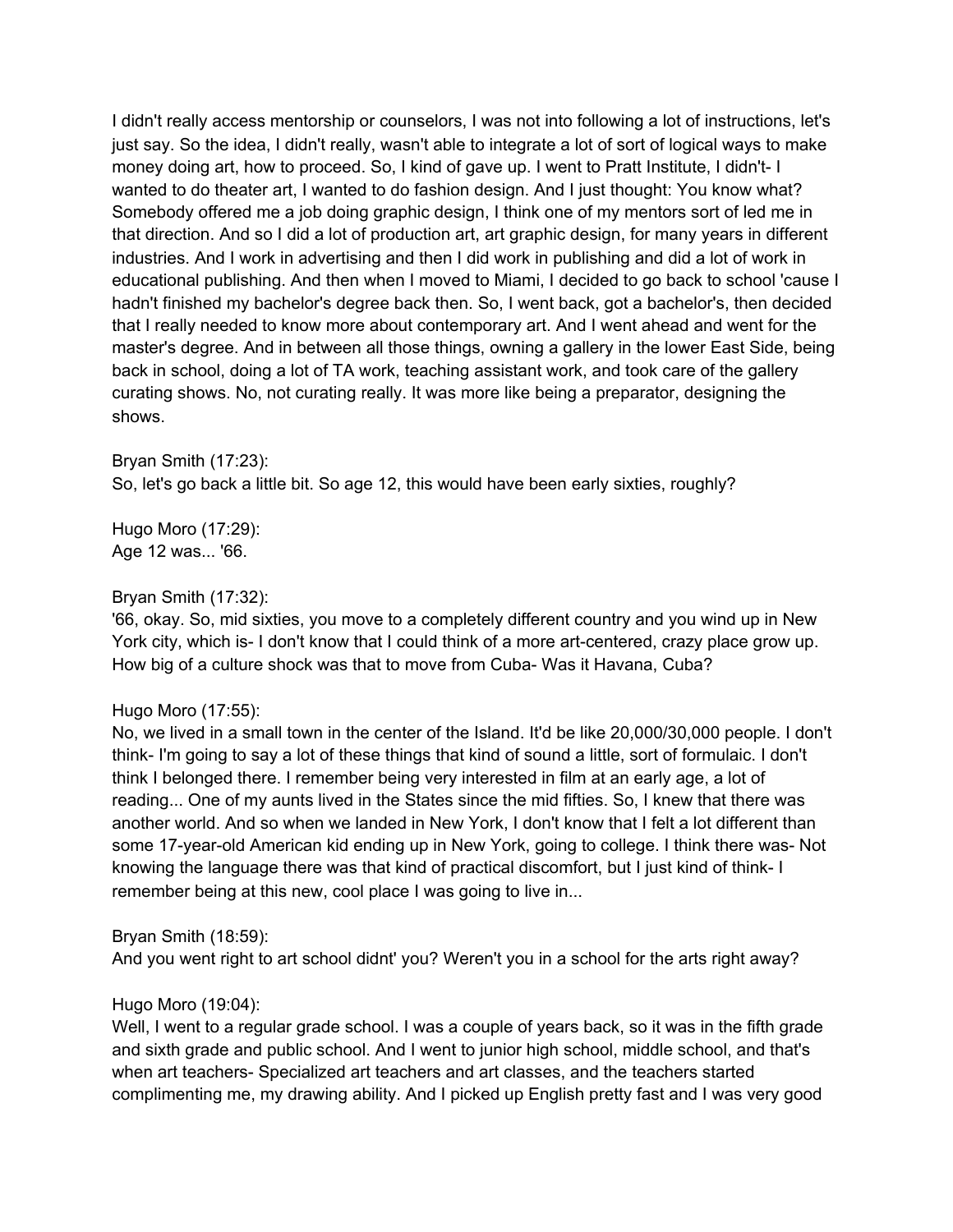I didn't really access mentorship or counselors, I was not into following a lot of instructions, let's just say. So the idea, I didn't really, wasn't able to integrate a lot of sort of logical wavs to make money doing art, how to proceed. So, I kind of gave up. I went to Pratt Institute, I didn't- I wanted to do theater art. I wanted to do fashion design. And I just thought: You know what? Somebody offered me a job doing graphic design, I think one of my mentors sort of led me in that direction. And so I did a lot of production art, art graphic design, for many years in different industries. And I work in advertising and then I did work in publishing and did a lot of work in educational publishing. And then when I moved to Miami, I decided to go back to school 'cause I hadn't finished my bachelor's degree back then. So, I went back, got a bachelor's, then decided that I really needed to know more about contemporary art. And I went ahead and went for the master's degree. And in between all those things, owning a gallery in the lower East Side, being back in school, doing a lot of TA work, teaching assistant work, and took care of the gallery curating shows. No, not curating really. It was more like being a preparator, designing the shows.

#### Bryan Smith (17:23):

So, let's go back a little bit. So age 12, this would have been early sixties, roughly?

Hugo Moro (17:29): Age 12 was... '66.

### Bryan Smith (17:32):

'66, okay. So, mid sixties, you move to a completely different country and you wind up in New York city, which is- I don't know that I could think of a more art-centered, crazy place grow up. How big of a culture shock was that to move from Cuba- Was it Havana, Cuba?

### Hugo Moro (17:55):

No, we lived in a small town in the center of the Island. It'd be like 20,000/30,000 people. I don't think- I'm going to say a lot of these things that kind of sound a little, sort of formulaic. I don't think I belonged there. I remember being very interested in film at an early age, a lot of reading... One of my aunts lived in the States since the mid fifties. So, I knew that there was another world. And so when we landed in New York, I don't know that I felt a lot different than some 17-year-old American kid ending up in New York, going to college. I think there was- Not knowing the language there was that kind of practical discomfort, but I just kind of think- I remember being at this new, cool place I was going to live in...

### Bryan Smith (18:59):

And you went right to art school didnt' you? Weren't you in a school for the arts right away?

### Hugo Moro (19:04):

Well, I went to a regular grade school. I was a couple of years back, so it was in the fifth grade and sixth grade and public school. And I went to junior high school, middle school, and that's when art teachers- Specialized art teachers and art classes, and the teachers started complimenting me, my drawing ability. And I picked up English pretty fast and I was very good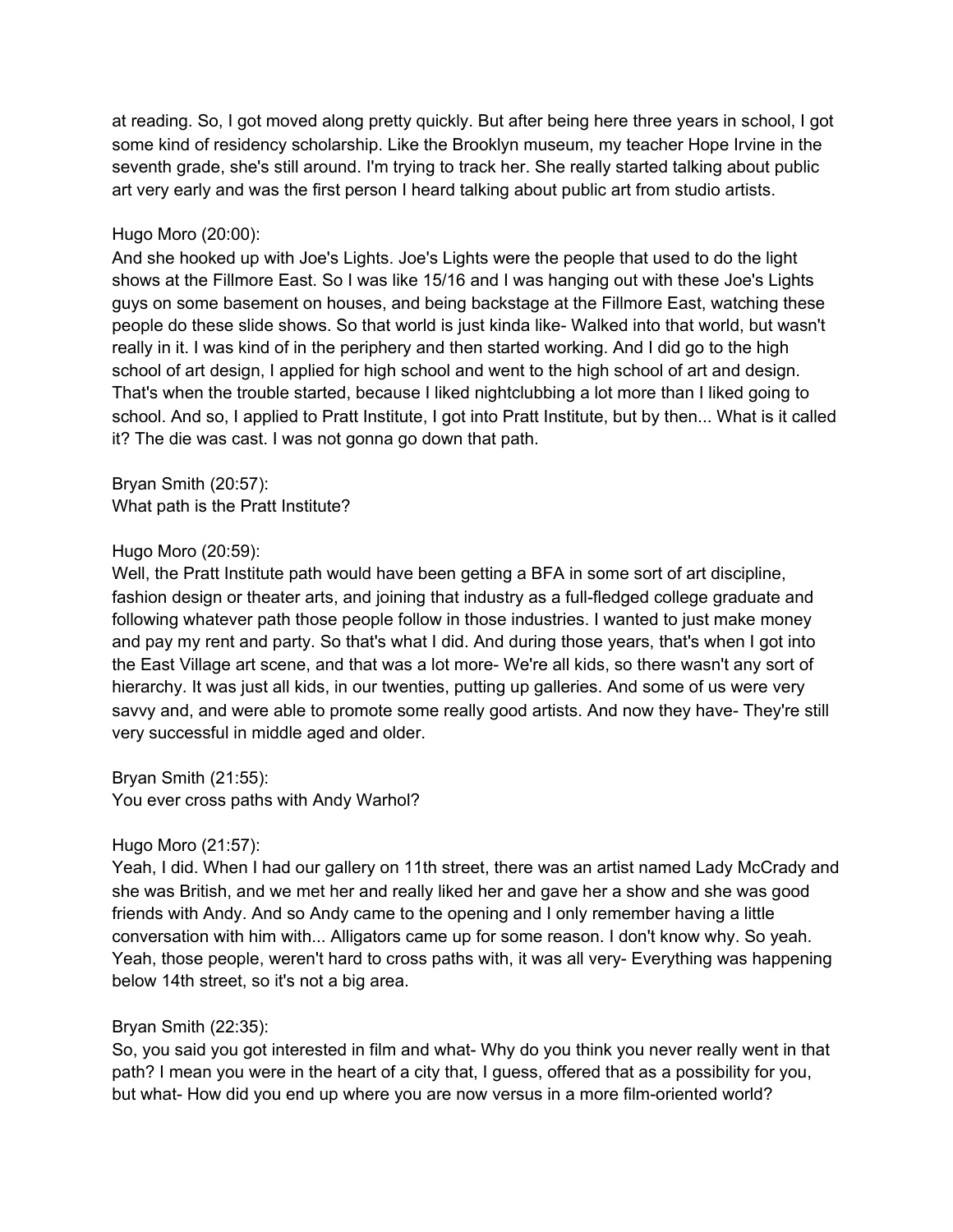at reading. So, I got moved along pretty quickly. But after being here three years in school, I got some kind of residency scholarship. Like the Brooklyn museum, my teacher Hope Irvine in the seventh grade, she's still around. I'm trying to track her. She really started talking about public art very early and was the first person I heard talking about public art from studio artists.

### Hugo Moro (20:00):

And she hooked up with Joe's Lights. Joe's Lights were the people that used to do the light shows at the Fillmore East. So I was like 15/16 and I was hanging out with these Joe's Lights guys on some basement on houses, and being backstage at the Fillmore East, watching these people do these slide shows. So that world is just kinda like- Walked into that world, but wasn't really in it. I was kind of in the periphery and then started working. And I did go to the high school of art design, I applied for high school and went to the high school of art and design. That's when the trouble started, because I liked nightclubbing a lot more than I liked going to school. And so, I applied to Pratt Institute, I got into Pratt Institute, but by then... What is it called it? The die was cast. I was not gonna go down that path.

Bryan Smith (20:57): What path is the Pratt Institute?

### Hugo Moro (20:59):

Well, the Pratt Institute path would have been getting a BFA in some sort of art discipline, fashion design or theater arts, and joining that industry as a full-fledged college graduate and following whatever path those people follow in those industries. I wanted to just make money and pay my rent and party. So that's what I did. And during those years, that's when I got into the East Village art scene, and that was a lot more- We're all kids, so there wasn't any sort of hierarchy. It was just all kids, in our twenties, putting up galleries. And some of us were very savvy and, and were able to promote some really good artists. And now they have- They're still very successful in middle aged and older.

Bryan Smith (21:55): You ever cross paths with Andy Warhol?

# Hugo Moro (21:57):

Yeah, I did. When I had our gallery on 11th street, there was an artist named Lady McCrady and she was British, and we met her and really liked her and gave her a show and she was good friends with Andy. And so Andy came to the opening and I only remember having a little conversation with him with... Alligators came up for some reason. I don't know why. So yeah. Yeah, those people, weren't hard to cross paths with, it was all very- Everything was happening below 14th street, so it's not a big area.

### Bryan Smith (22:35):

So, you said you got interested in film and what- Why do you think you never really went in that path? I mean you were in the heart of a city that, I guess, offered that as a possibility for you, but what- How did you end up where you are now versus in a more film-oriented world?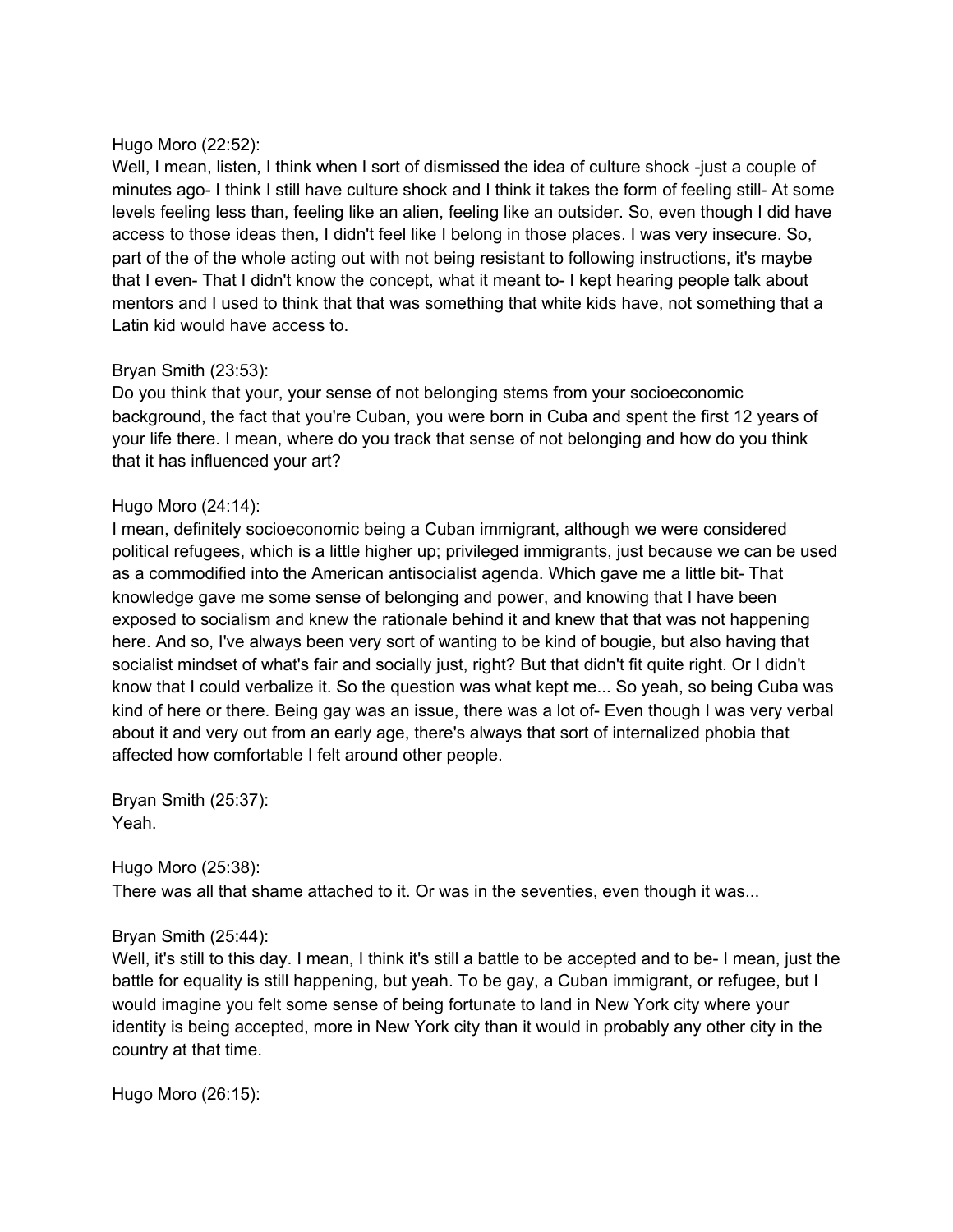### Hugo Moro (22:52):

Well, I mean, listen, I think when I sort of dismissed the idea of culture shock -just a couple of minutes ago- I think I still have culture shock and I think it takes the form of feeling still- At some levels feeling less than, feeling like an alien, feeling like an outsider. So, even though I did have access to those ideas then, I didn't feel like I belong in those places. I was very insecure. So, part of the of the whole acting out with not being resistant to following instructions, it's maybe that I even- That I didn't know the concept, what it meant to- I kept hearing people talk about mentors and I used to think that that was something that white kids have, not something that a Latin kid would have access to.

### Bryan Smith (23:53):

Do you think that your, your sense of not belonging stems from your socioeconomic background, the fact that you're Cuban, you were born in Cuba and spent the first 12 years of your life there. I mean, where do you track that sense of not belonging and how do you think that it has influenced your art?

### Hugo Moro (24:14):

I mean, definitely socioeconomic being a Cuban immigrant, although we were considered political refugees, which is a little higher up; privileged immigrants, just because we can be used as a commodified into the American antisocialist agenda. Which gave me a little bit- That knowledge gave me some sense of belonging and power, and knowing that I have been exposed to socialism and knew the rationale behind it and knew that that was not happening here. And so, I've always been very sort of wanting to be kind of bougie, but also having that socialist mindset of what's fair and socially just, right? But that didn't fit quite right. Or I didn't know that I could verbalize it. So the question was what kept me... So yeah, so being Cuba was kind of here or there. Being gay was an issue, there was a lot of- Even though I was very verbal about it and very out from an early age, there's always that sort of internalized phobia that affected how comfortable I felt around other people.

Bryan Smith (25:37): Yeah.

Hugo Moro (25:38):

There was all that shame attached to it. Or was in the seventies, even though it was...

# Bryan Smith (25:44):

Well, it's still to this day. I mean, I think it's still a battle to be accepted and to be- I mean, just the battle for equality is still happening, but yeah. To be gay, a Cuban immigrant, or refugee, but I would imagine you felt some sense of being fortunate to land in New York city where your identity is being accepted, more in New York city than it would in probably any other city in the country at that time.

Hugo Moro (26:15):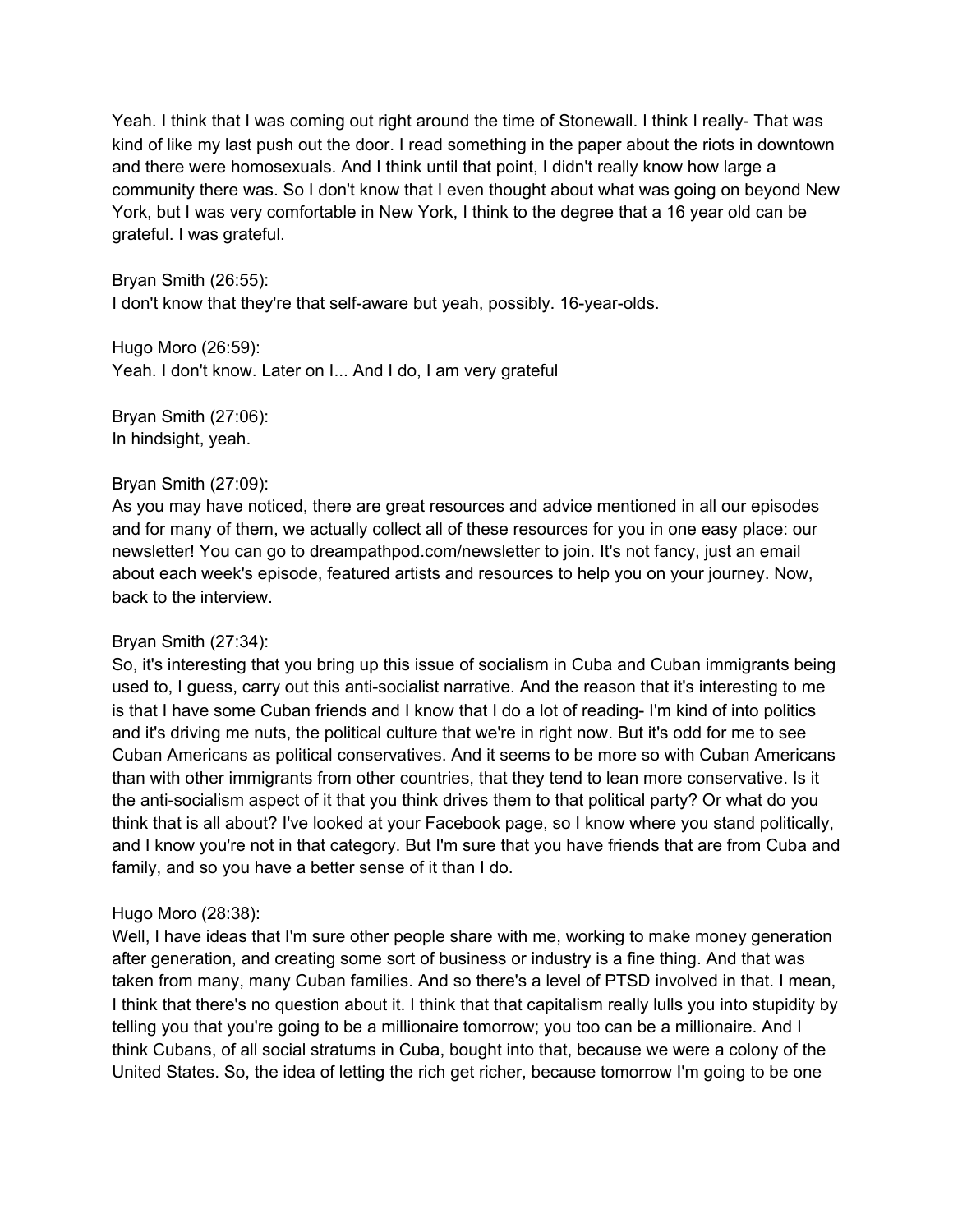Yeah. I think that I was coming out right around the time of Stonewall. I think I really- That was kind of like my last push out the door. I read something in the paper about the riots in downtown and there were homosexuals. And I think until that point, I didn't really know how large a community there was. So I don't know that I even thought about what was going on beyond New York, but I was very comfortable in New York, I think to the degree that a 16 year old can be grateful. I was grateful.

Bryan Smith (26:55): I don't know that they're that self-aware but yeah, possibly. 16-year-olds.

Hugo Moro (26:59): Yeah. I don't know. Later on I... And I do, I am very grateful

Bryan Smith (27:06): In hindsight, yeah.

### Bryan Smith (27:09):

As you may have noticed, there are great resources and advice mentioned in all our episodes and for many of them, we actually collect all of these resources for you in one easy place: our newsletter! You can go to dreampathpod.com/newsletter to join. It's not fancy, just an email about each week's episode, featured artists and resources to help you on your journey. Now, back to the interview.

# Bryan Smith (27:34):

So, it's interesting that you bring up this issue of socialism in Cuba and Cuban immigrants being used to, I guess, carry out this anti-socialist narrative. And the reason that it's interesting to me is that I have some Cuban friends and I know that I do a lot of reading- I'm kind of into politics and it's driving me nuts, the political culture that we're in right now. But it's odd for me to see Cuban Americans as political conservatives. And it seems to be more so with Cuban Americans than with other immigrants from other countries, that they tend to lean more conservative. Is it the anti-socialism aspect of it that you think drives them to that political party? Or what do you think that is all about? I've looked at your Facebook page, so I know where you stand politically, and I know you're not in that category. But I'm sure that you have friends that are from Cuba and family, and so you have a better sense of it than I do.

# Hugo Moro (28:38):

Well, I have ideas that I'm sure other people share with me, working to make money generation after generation, and creating some sort of business or industry is a fine thing. And that was taken from many, many Cuban families. And so there's a level of PTSD involved in that. I mean, I think that there's no question about it. I think that that capitalism really lulls you into stupidity by telling you that you're going to be a millionaire tomorrow; you too can be a millionaire. And I think Cubans, of all social stratums in Cuba, bought into that, because we were a colony of the United States. So, the idea of letting the rich get richer, because tomorrow I'm going to be one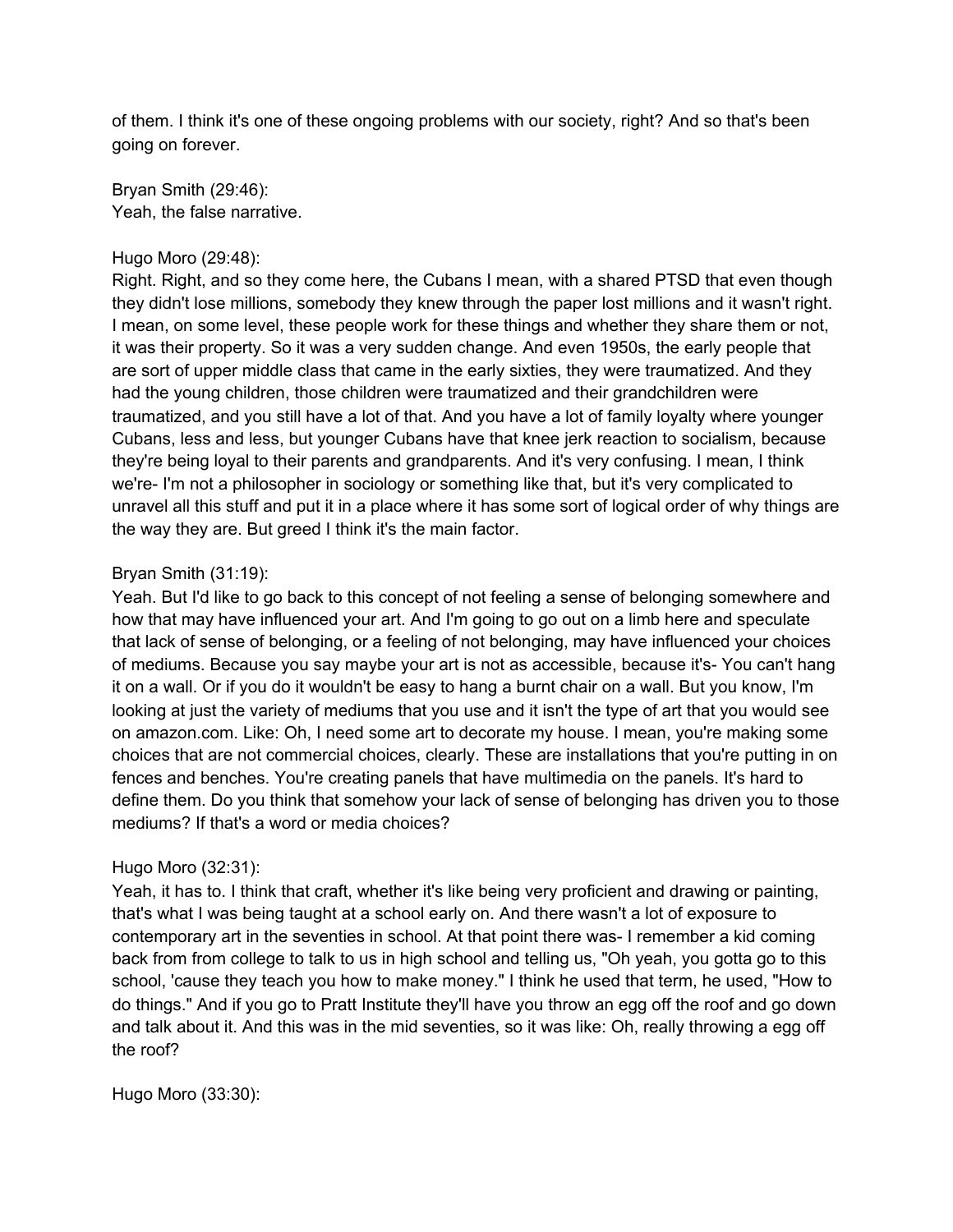of them. I think it's one of these ongoing problems with our society, right? And so that's been going on forever.

Bryan Smith (29:46): Yeah, the false narrative.

#### Hugo Moro (29:48):

Right. Right, and so they come here, the Cubans I mean, with a shared PTSD that even though they didn't lose millions, somebody they knew through the paper lost millions and it wasn't right. I mean, on some level, these people work for these things and whether they share them or not, it was their property. So it was a very sudden change. And even 1950s, the early people that are sort of upper middle class that came in the early sixties, they were traumatized. And they had the young children, those children were traumatized and their grandchildren were traumatized, and you still have a lot of that. And you have a lot of family loyalty where younger Cubans, less and less, but younger Cubans have that knee jerk reaction to socialism, because they're being loyal to their parents and grandparents. And it's very confusing. I mean, I think we're- I'm not a philosopher in sociology or something like that, but it's very complicated to unravel all this stuff and put it in a place where it has some sort of logical order of why things are the way they are. But greed I think it's the main factor.

### Bryan Smith (31:19):

Yeah. But I'd like to go back to this concept of not feeling a sense of belonging somewhere and how that may have influenced your art. And I'm going to go out on a limb here and speculate that lack of sense of belonging, or a feeling of not belonging, may have influenced your choices of mediums. Because you say maybe your art is not as accessible, because it's- You can't hang it on a wall. Or if you do it wouldn't be easy to hang a burnt chair on a wall. But you know, I'm looking at just the variety of mediums that you use and it isn't the type of art that you would see on amazon.com. Like: Oh, I need some art to decorate my house. I mean, you're making some choices that are not commercial choices, clearly. These are installations that you're putting in on fences and benches. You're creating panels that have multimedia on the panels. It's hard to define them. Do you think that somehow your lack of sense of belonging has driven you to those mediums? If that's a word or media choices?

#### Hugo Moro (32:31):

Yeah, it has to. I think that craft, whether it's like being very proficient and drawing or painting, that's what I was being taught at a school early on. And there wasn't a lot of exposure to contemporary art in the seventies in school. At that point there was- I remember a kid coming back from from college to talk to us in high school and telling us, "Oh yeah, you gotta go to this school, 'cause they teach you how to make money." I think he used that term, he used, "How to do things." And if you go to Pratt Institute they'll have you throw an egg off the roof and go down and talk about it. And this was in the mid seventies, so it was like: Oh, really throwing a egg off the roof?

Hugo Moro (33:30):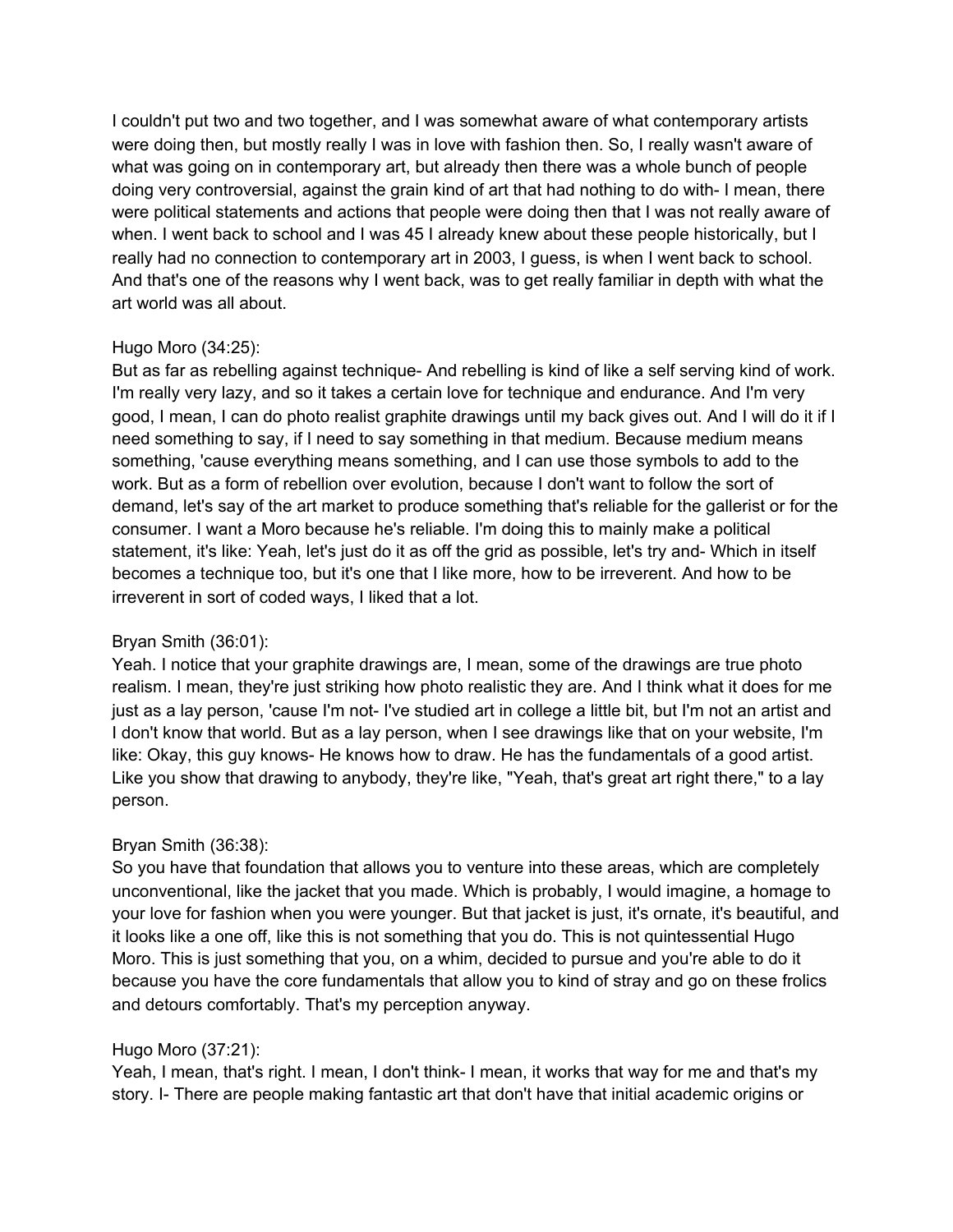I couldn't put two and two together, and I was somewhat aware of what contemporary artists were doing then, but mostly really I was in love with fashion then. So, I really wasn't aware of what was going on in contemporary art, but already then there was a whole bunch of people doing very controversial, against the grain kind of art that had nothing to do with- I mean, there were political statements and actions that people were doing then that I was not really aware of when. I went back to school and I was 45 I already knew about these people historically, but I really had no connection to contemporary art in 2003, I guess, is when I went back to school. And that's one of the reasons why I went back, was to get really familiar in depth with what the art world was all about.

### Hugo Moro (34:25):

But as far as rebelling against technique- And rebelling is kind of like a self serving kind of work. I'm really very lazy, and so it takes a certain love for technique and endurance. And I'm very good, I mean, I can do photo realist graphite drawings until my back gives out. And I will do it if I need something to say, if I need to say something in that medium. Because medium means something, 'cause everything means something, and I can use those symbols to add to the work. But as a form of rebellion over evolution, because I don't want to follow the sort of demand, let's say of the art market to produce something that's reliable for the gallerist or for the consumer. I want a Moro because he's reliable. I'm doing this to mainly make a political statement, it's like: Yeah, let's just do it as off the grid as possible, let's try and- Which in itself becomes a technique too, but it's one that I like more, how to be irreverent. And how to be irreverent in sort of coded ways, I liked that a lot.

# Bryan Smith (36:01):

Yeah. I notice that your graphite drawings are, I mean, some of the drawings are true photo realism. I mean, they're just striking how photo realistic they are. And I think what it does for me just as a lay person, 'cause I'm not- I've studied art in college a little bit, but I'm not an artist and I don't know that world. But as a lay person, when I see drawings like that on your website, I'm like: Okay, this guy knows- He knows how to draw. He has the fundamentals of a good artist. Like you show that drawing to anybody, they're like, "Yeah, that's great art right there," to a lay person.

# Bryan Smith (36:38):

So you have that foundation that allows you to venture into these areas, which are completely unconventional, like the jacket that you made. Which is probably, I would imagine, a homage to your love for fashion when you were younger. But that jacket is just, it's ornate, it's beautiful, and it looks like a one off, like this is not something that you do. This is not quintessential Hugo Moro. This is just something that you, on a whim, decided to pursue and you're able to do it because you have the core fundamentals that allow you to kind of stray and go on these frolics and detours comfortably. That's my perception anyway.

# Hugo Moro (37:21):

Yeah, I mean, that's right. I mean, I don't think- I mean, it works that way for me and that's my story. I- There are people making fantastic art that don't have that initial academic origins or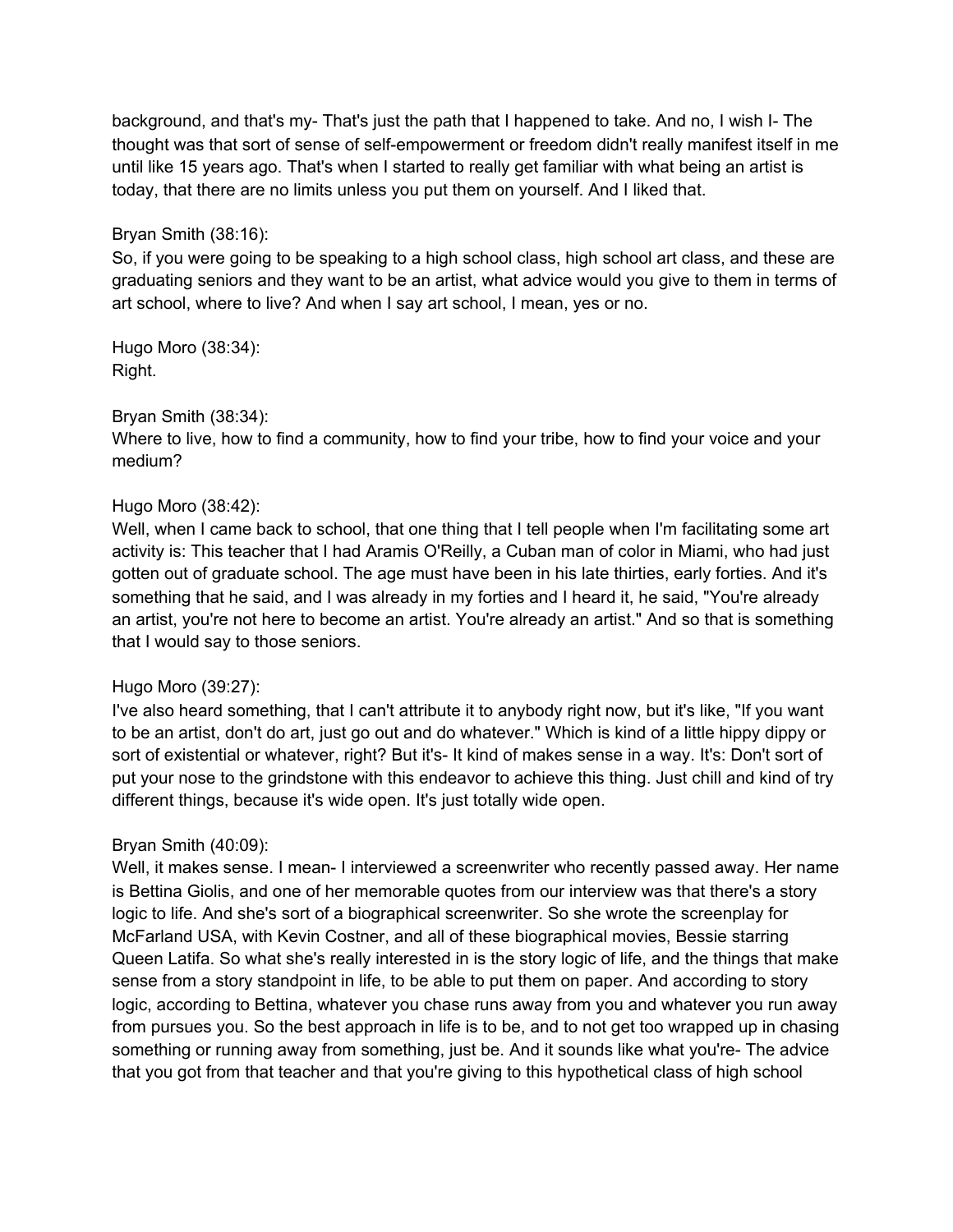background, and that's my- That's just the path that I happened to take. And no, I wish I- The thought was that sort of sense of self-empowerment or freedom didn't really manifest itself in me until like 15 years ago. That's when I started to really get familiar with what being an artist is today, that there are no limits unless you put them on yourself. And I liked that.

### Bryan Smith (38:16):

So, if you were going to be speaking to a high school class, high school art class, and these are graduating seniors and they want to be an artist, what advice would you give to them in terms of art school, where to live? And when I say art school, I mean, yes or no.

Hugo Moro (38:34): Right.

### Bryan Smith (38:34):

Where to live, how to find a community, how to find your tribe, how to find your voice and your medium?

### Hugo Moro (38:42):

Well, when I came back to school, that one thing that I tell people when I'm facilitating some art activity is: This teacher that I had Aramis O'Reilly, a Cuban man of color in Miami, who had just gotten out of graduate school. The age must have been in his late thirties, early forties. And it's something that he said, and I was already in my forties and I heard it, he said, "You're already an artist, you're not here to become an artist. You're already an artist." And so that is something that I would say to those seniors.

### Hugo Moro (39:27):

I've also heard something, that I can't attribute it to anybody right now, but it's like, "If you want to be an artist, don't do art, just go out and do whatever." Which is kind of a little hippy dippy or sort of existential or whatever, right? But it's- It kind of makes sense in a way. It's: Don't sort of put your nose to the grindstone with this endeavor to achieve this thing. Just chill and kind of try different things, because it's wide open. It's just totally wide open.

# Bryan Smith (40:09):

Well, it makes sense. I mean- I interviewed a screenwriter who recently passed away. Her name is Bettina Giolis, and one of her memorable quotes from our interview was that there's a story logic to life. And she's sort of a biographical screenwriter. So she wrote the screenplay for McFarland USA, with Kevin Costner, and all of these biographical movies, Bessie starring Queen Latifa. So what she's really interested in is the story logic of life, and the things that make sense from a story standpoint in life, to be able to put them on paper. And according to story logic, according to Bettina, whatever you chase runs away from you and whatever you run away from pursues you. So the best approach in life is to be, and to not get too wrapped up in chasing something or running away from something, just be. And it sounds like what you're- The advice that you got from that teacher and that you're giving to this hypothetical class of high school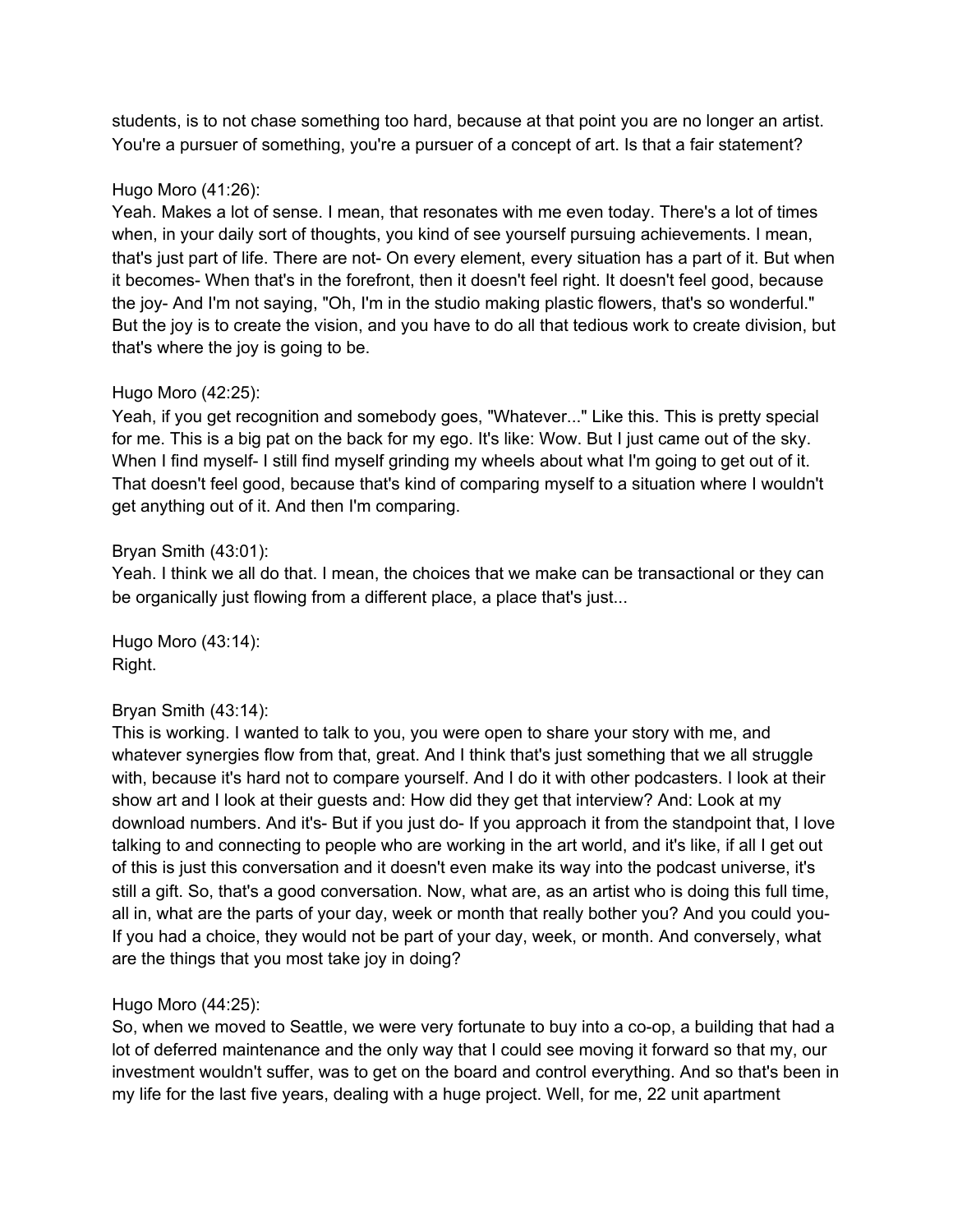students, is to not chase something too hard, because at that point you are no longer an artist. You're a pursuer of something, you're a pursuer of a concept of art. Is that a fair statement?

## Hugo Moro (41:26):

Yeah. Makes a lot of sense. I mean, that resonates with me even today. There's a lot of times when, in your daily sort of thoughts, you kind of see yourself pursuing achievements. I mean, that's just part of life. There are not- On every element, every situation has a part of it. But when it becomes- When that's in the forefront, then it doesn't feel right. It doesn't feel good, because the joy- And I'm not saying, "Oh, I'm in the studio making plastic flowers, that's so wonderful." But the joy is to create the vision, and you have to do all that tedious work to create division, but that's where the joy is going to be.

# Hugo Moro (42:25):

Yeah, if you get recognition and somebody goes, "Whatever..." Like this. This is pretty special for me. This is a big pat on the back for my ego. It's like: Wow. But I just came out of the sky. When I find myself- I still find myself grinding my wheels about what I'm going to get out of it. That doesn't feel good, because that's kind of comparing myself to a situation where I wouldn't get anything out of it. And then I'm comparing.

### Bryan Smith (43:01):

Yeah. I think we all do that. I mean, the choices that we make can be transactional or they can be organically just flowing from a different place, a place that's just...

Hugo Moro (43:14): Right.

# Bryan Smith (43:14):

This is working. I wanted to talk to you, you were open to share your story with me, and whatever synergies flow from that, great. And I think that's just something that we all struggle with, because it's hard not to compare yourself. And I do it with other podcasters. I look at their show art and I look at their guests and: How did they get that interview? And: Look at my download numbers. And it's- But if you just do- If you approach it from the standpoint that, I love talking to and connecting to people who are working in the art world, and it's like, if all I get out of this is just this conversation and it doesn't even make its way into the podcast universe, it's still a gift. So, that's a good conversation. Now, what are, as an artist who is doing this full time, all in, what are the parts of your day, week or month that really bother you? And you could you-If you had a choice, they would not be part of your day, week, or month. And conversely, what are the things that you most take joy in doing?

# Hugo Moro (44:25):

So, when we moved to Seattle, we were very fortunate to buy into a co-op, a building that had a lot of deferred maintenance and the only way that I could see moving it forward so that my, our investment wouldn't suffer, was to get on the board and control everything. And so that's been in my life for the last five years, dealing with a huge project. Well, for me, 22 unit apartment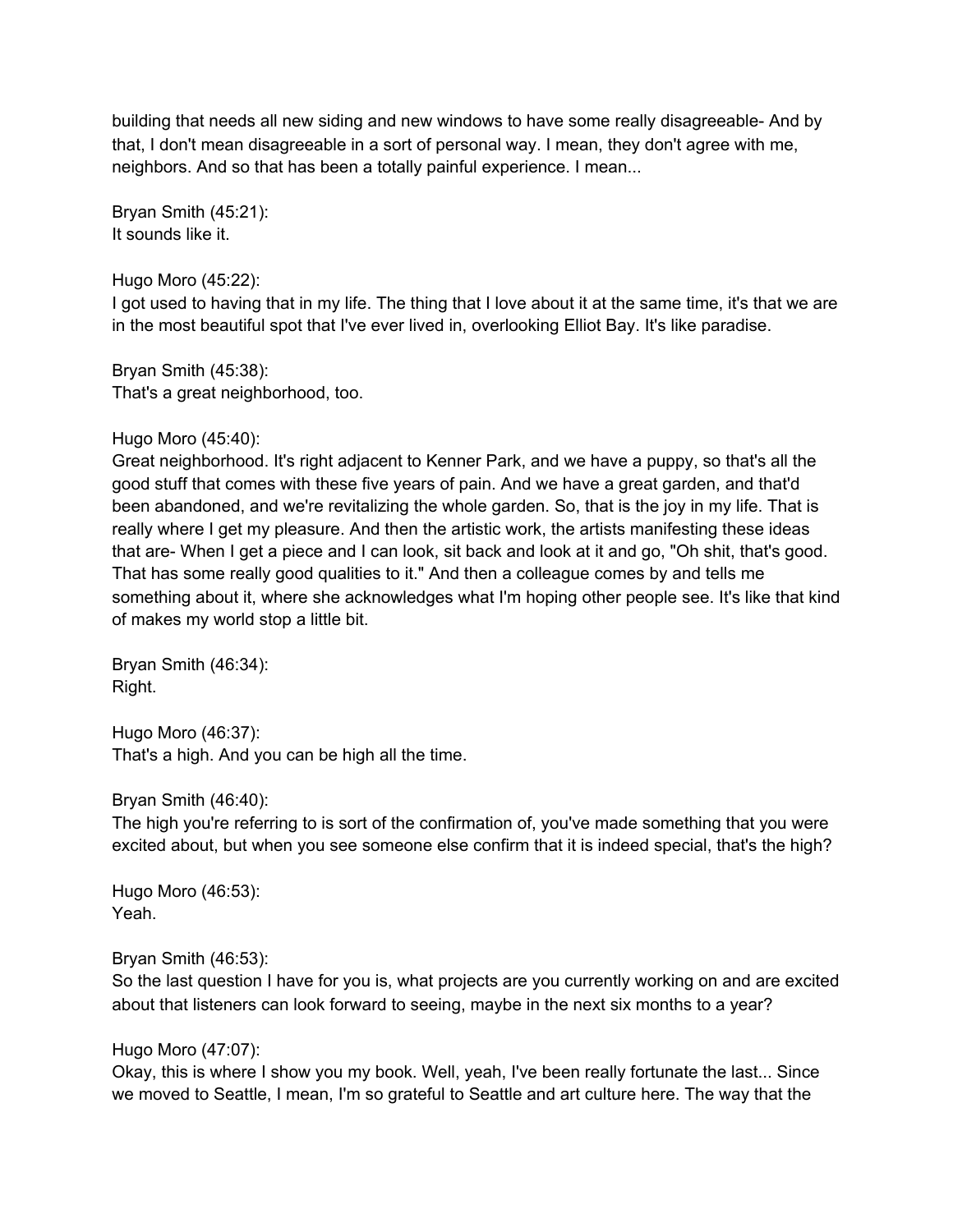building that needs all new siding and new windows to have some really disagreeable- And by that, I don't mean disagreeable in a sort of personal way. I mean, they don't agree with me, neighbors. And so that has been a totally painful experience. I mean...

Bryan Smith (45:21): It sounds like it.

#### Hugo Moro (45:22):

I got used to having that in my life. The thing that I love about it at the same time, it's that we are in the most beautiful spot that I've ever lived in, overlooking Elliot Bay. It's like paradise.

Bryan Smith (45:38): That's a great neighborhood, too.

#### Hugo Moro (45:40):

Great neighborhood. It's right adjacent to Kenner Park, and we have a puppy, so that's all the good stuff that comes with these five years of pain. And we have a great garden, and that'd been abandoned, and we're revitalizing the whole garden. So, that is the joy in my life. That is really where I get my pleasure. And then the artistic work, the artists manifesting these ideas that are- When I get a piece and I can look, sit back and look at it and go, "Oh shit, that's good. That has some really good qualities to it." And then a colleague comes by and tells me something about it, where she acknowledges what I'm hoping other people see. It's like that kind of makes my world stop a little bit.

Bryan Smith (46:34): Right.

Hugo Moro (46:37): That's a high. And you can be high all the time.

Bryan Smith (46:40):

The high you're referring to is sort of the confirmation of, you've made something that you were excited about, but when you see someone else confirm that it is indeed special, that's the high?

Hugo Moro (46:53): Yeah.

### Bryan Smith (46:53):

So the last question I have for you is, what projects are you currently working on and are excited about that listeners can look forward to seeing, maybe in the next six months to a year?

### Hugo Moro (47:07):

Okay, this is where I show you my book. Well, yeah, I've been really fortunate the last... Since we moved to Seattle, I mean, I'm so grateful to Seattle and art culture here. The way that the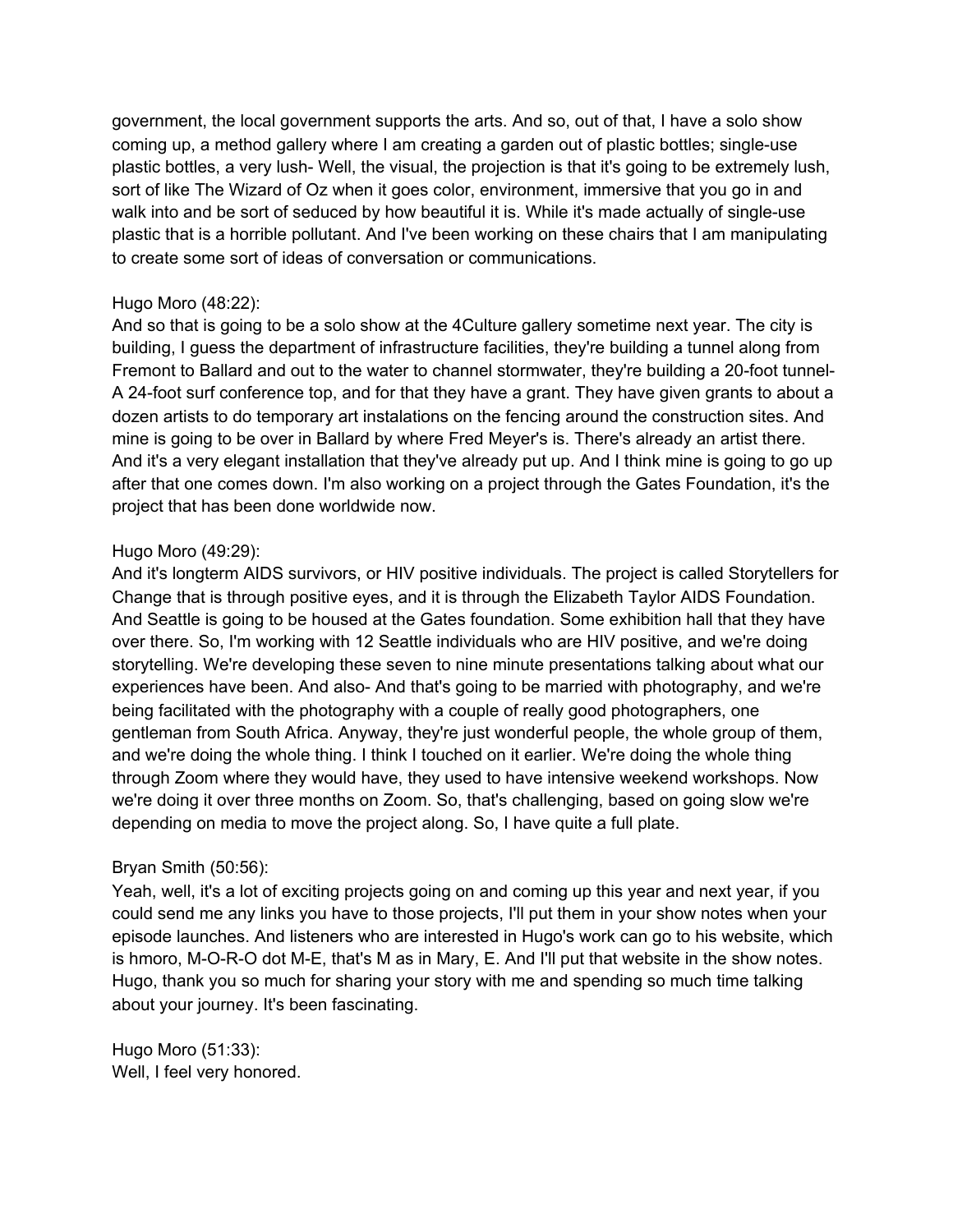government, the local government supports the arts. And so, out of that, I have a solo show coming up, a method gallery where I am creating a garden out of plastic bottles; single-use plastic bottles, a very lush- Well, the visual, the projection is that it's going to be extremely lush, sort of like The Wizard of Oz when it goes color, environment, immersive that you go in and walk into and be sort of seduced by how beautiful it is. While it's made actually of single-use plastic that is a horrible pollutant. And I've been working on these chairs that I am manipulating to create some sort of ideas of conversation or communications.

### Hugo Moro (48:22):

And so that is going to be a solo show at the 4Culture gallery sometime next year. The city is building, I guess the department of infrastructure facilities, they're building a tunnel along from Fremont to Ballard and out to the water to channel stormwater, they're building a 20-foot tunnel-A 24-foot surf conference top, and for that they have a grant. They have given grants to about a dozen artists to do temporary art instalations on the fencing around the construction sites. And mine is going to be over in Ballard by where Fred Meyer's is. There's already an artist there. And it's a very elegant installation that they've already put up. And I think mine is going to go up after that one comes down. I'm also working on a project through the Gates Foundation, it's the project that has been done worldwide now.

### Hugo Moro (49:29):

And it's longterm AIDS survivors, or HIV positive individuals. The project is called Storytellers for Change that is through positive eyes, and it is through the Elizabeth Taylor AIDS Foundation. And Seattle is going to be housed at the Gates foundation. Some exhibition hall that they have over there. So, I'm working with 12 Seattle individuals who are HIV positive, and we're doing storytelling. We're developing these seven to nine minute presentations talking about what our experiences have been. And also- And that's going to be married with photography, and we're being facilitated with the photography with a couple of really good photographers, one gentleman from South Africa. Anyway, they're just wonderful people, the whole group of them, and we're doing the whole thing. I think I touched on it earlier. We're doing the whole thing through Zoom where they would have, they used to have intensive weekend workshops. Now we're doing it over three months on Zoom. So, that's challenging, based on going slow we're depending on media to move the project along. So, I have quite a full plate.

### Bryan Smith (50:56):

Yeah, well, it's a lot of exciting projects going on and coming up this year and next year, if you could send me any links you have to those projects, I'll put them in your show notes when your episode launches. And listeners who are interested in Hugo's work can go to his website, which is hmoro, M-O-R-O dot M-E, that's M as in Mary, E. And I'll put that website in the show notes. Hugo, thank you so much for sharing your story with me and spending so much time talking about your journey. It's been fascinating.

Hugo Moro (51:33): Well, I feel very honored.